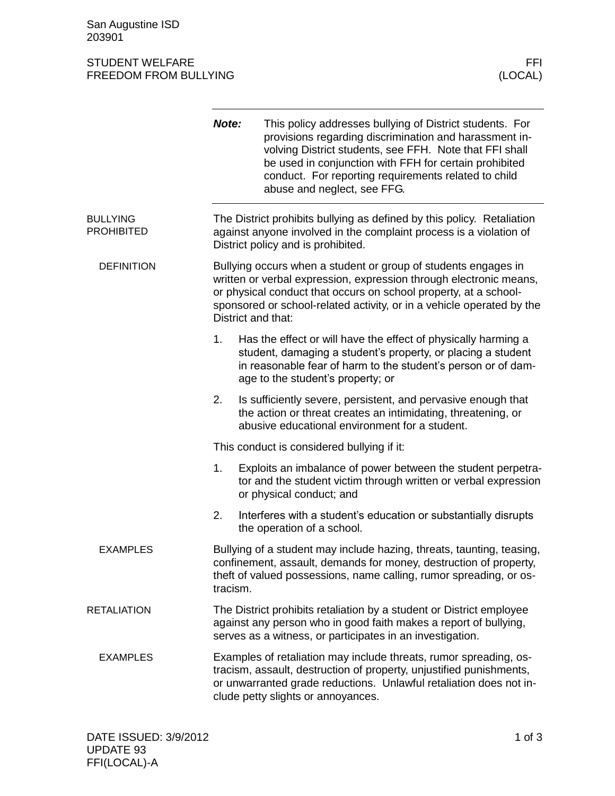San Augustine ISD 203901

## STUDENT WELFARE FFINDENT WELFARE FREEDOM FROM BULLYING AND THE SERVICE OF THE SERVICE OF THE SERVICE OF THE SE FREEDOM FROM BULLYING

|                                      | Note:                                                                                                                                                                                                                                                | This policy addresses bullying of District students. For<br>provisions regarding discrimination and harassment in-<br>volving District students, see FFH. Note that FFI shall<br>be used in conjunction with FFH for certain prohibited<br>conduct. For reporting requirements related to child<br>abuse and neglect, see FFG. |  |
|--------------------------------------|------------------------------------------------------------------------------------------------------------------------------------------------------------------------------------------------------------------------------------------------------|--------------------------------------------------------------------------------------------------------------------------------------------------------------------------------------------------------------------------------------------------------------------------------------------------------------------------------|--|
| <b>BULLYING</b><br><b>PROHIBITED</b> |                                                                                                                                                                                                                                                      | The District prohibits bullying as defined by this policy. Retaliation<br>against anyone involved in the complaint process is a violation of<br>District policy and is prohibited.                                                                                                                                             |  |
| <b>DEFINITION</b>                    |                                                                                                                                                                                                                                                      | Bullying occurs when a student or group of students engages in<br>written or verbal expression, expression through electronic means,<br>or physical conduct that occurs on school property, at a school-<br>sponsored or school-related activity, or in a vehicle operated by the<br>District and that:                        |  |
|                                      | 1.                                                                                                                                                                                                                                                   | Has the effect or will have the effect of physically harming a<br>student, damaging a student's property, or placing a student<br>in reasonable fear of harm to the student's person or of dam-<br>age to the student's property; or                                                                                           |  |
|                                      | 2.                                                                                                                                                                                                                                                   | Is sufficiently severe, persistent, and pervasive enough that<br>the action or threat creates an intimidating, threatening, or<br>abusive educational environment for a student.                                                                                                                                               |  |
|                                      |                                                                                                                                                                                                                                                      | This conduct is considered bullying if it:                                                                                                                                                                                                                                                                                     |  |
|                                      | 1.                                                                                                                                                                                                                                                   | Exploits an imbalance of power between the student perpetra-<br>tor and the student victim through written or verbal expression<br>or physical conduct; and                                                                                                                                                                    |  |
|                                      | 2.                                                                                                                                                                                                                                                   | Interferes with a student's education or substantially disrupts<br>the operation of a school.                                                                                                                                                                                                                                  |  |
| <b>EXAMPLES</b>                      |                                                                                                                                                                                                                                                      | Bullying of a student may include hazing, threats, taunting, teasing,<br>confinement, assault, demands for money, destruction of property,<br>theft of valued possessions, name calling, rumor spreading, or os-<br>tracism.                                                                                                   |  |
| <b>RETALIATION</b>                   |                                                                                                                                                                                                                                                      | The District prohibits retaliation by a student or District employee<br>against any person who in good faith makes a report of bullying,<br>serves as a witness, or participates in an investigation.                                                                                                                          |  |
| <b>EXAMPLES</b>                      | Examples of retaliation may include threats, rumor spreading, os-<br>tracism, assault, destruction of property, unjustified punishments,<br>or unwarranted grade reductions. Unlawful retaliation does not in-<br>clude petty slights or annoyances. |                                                                                                                                                                                                                                                                                                                                |  |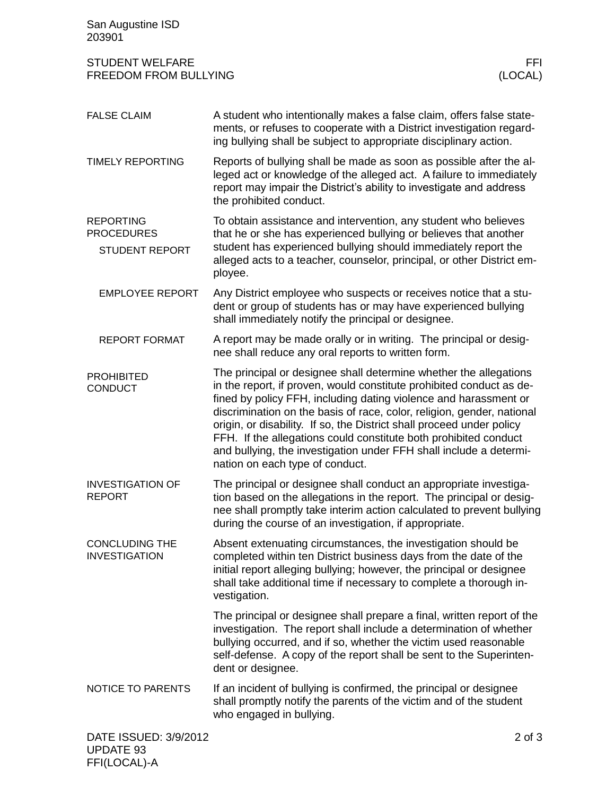| San Augustine ISD<br>203901                                    |                                                                                                                                                                                                                                                                                                                                                                                                                                                                                                                                               |                 |
|----------------------------------------------------------------|-----------------------------------------------------------------------------------------------------------------------------------------------------------------------------------------------------------------------------------------------------------------------------------------------------------------------------------------------------------------------------------------------------------------------------------------------------------------------------------------------------------------------------------------------|-----------------|
| <b>STUDENT WELFARE</b><br><b>FREEDOM FROM BULLYING</b>         |                                                                                                                                                                                                                                                                                                                                                                                                                                                                                                                                               | FFI.<br>(LOCAL) |
| <b>FALSE CLAIM</b>                                             | A student who intentionally makes a false claim, offers false state-<br>ments, or refuses to cooperate with a District investigation regard-<br>ing bullying shall be subject to appropriate disciplinary action.                                                                                                                                                                                                                                                                                                                             |                 |
| <b>TIMELY REPORTING</b>                                        | Reports of bullying shall be made as soon as possible after the al-<br>leged act or knowledge of the alleged act. A failure to immediately<br>report may impair the District's ability to investigate and address<br>the prohibited conduct.                                                                                                                                                                                                                                                                                                  |                 |
| <b>REPORTING</b><br><b>PROCEDURES</b><br><b>STUDENT REPORT</b> | To obtain assistance and intervention, any student who believes<br>that he or she has experienced bullying or believes that another<br>student has experienced bullying should immediately report the<br>alleged acts to a teacher, counselor, principal, or other District em-<br>ployee.                                                                                                                                                                                                                                                    |                 |
| <b>EMPLOYEE REPORT</b>                                         | Any District employee who suspects or receives notice that a stu-<br>dent or group of students has or may have experienced bullying<br>shall immediately notify the principal or designee.                                                                                                                                                                                                                                                                                                                                                    |                 |
| <b>REPORT FORMAT</b>                                           | A report may be made orally or in writing. The principal or desig-<br>nee shall reduce any oral reports to written form.                                                                                                                                                                                                                                                                                                                                                                                                                      |                 |
| <b>PROHIBITED</b><br><b>CONDUCT</b>                            | The principal or designee shall determine whether the allegations<br>in the report, if proven, would constitute prohibited conduct as de-<br>fined by policy FFH, including dating violence and harassment or<br>discrimination on the basis of race, color, religion, gender, national<br>origin, or disability. If so, the District shall proceed under policy<br>FFH. If the allegations could constitute both prohibited conduct<br>and bullying, the investigation under FFH shall include a determi-<br>nation on each type of conduct. |                 |
| <b>INVESTIGATION OF</b><br><b>REPORT</b>                       | The principal or designee shall conduct an appropriate investiga-<br>tion based on the allegations in the report. The principal or desig-<br>nee shall promptly take interim action calculated to prevent bullying<br>during the course of an investigation, if appropriate.                                                                                                                                                                                                                                                                  |                 |
| <b>CONCLUDING THE</b><br><b>INVESTIGATION</b>                  | Absent extenuating circumstances, the investigation should be<br>completed within ten District business days from the date of the<br>initial report alleging bullying; however, the principal or designee<br>shall take additional time if necessary to complete a thorough in-<br>vestigation.                                                                                                                                                                                                                                               |                 |
|                                                                | The principal or designee shall prepare a final, written report of the<br>investigation. The report shall include a determination of whether<br>bullying occurred, and if so, whether the victim used reasonable<br>self-defense. A copy of the report shall be sent to the Superinten-<br>dent or designee.                                                                                                                                                                                                                                  |                 |
| NOTICE TO PARENTS                                              | If an incident of bullying is confirmed, the principal or designee<br>shall promptly notify the parents of the victim and of the student<br>who engaged in bullying.                                                                                                                                                                                                                                                                                                                                                                          |                 |
| DATE ISSUED: 3/9/2012<br><b>UPDATE 93</b>                      |                                                                                                                                                                                                                                                                                                                                                                                                                                                                                                                                               |                 |

FFI(LOCAL)-A